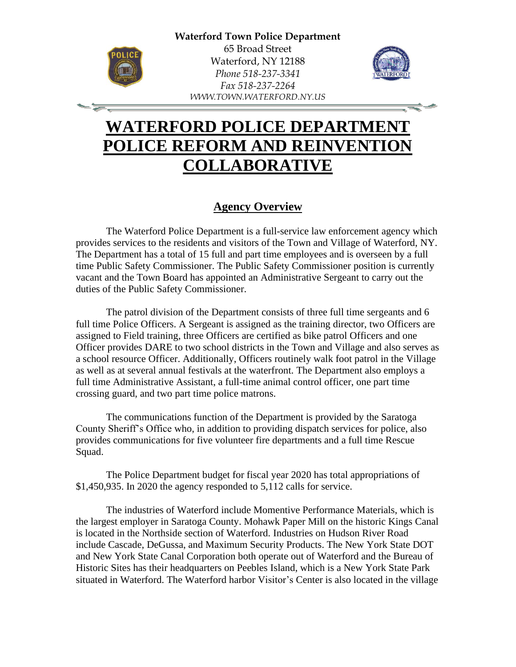

-12

65 Broad Street Waterford, NY 12188 *Phone 518-237-3341 Fax 518-237-2264 WWW.TOWN.WATERFORD.NY.US*



# **WATERFORD POLICE DEPARTMENT POLICE REFORM AND REINVENTION COLLABORATIVE**

## **Agency Overview**

The Waterford Police Department is a full-service law enforcement agency which provides services to the residents and visitors of the Town and Village of Waterford, NY. The Department has a total of 15 full and part time employees and is overseen by a full time Public Safety Commissioner. The Public Safety Commissioner position is currently vacant and the Town Board has appointed an Administrative Sergeant to carry out the duties of the Public Safety Commissioner.

The patrol division of the Department consists of three full time sergeants and 6 full time Police Officers. A Sergeant is assigned as the training director, two Officers are assigned to Field training, three Officers are certified as bike patrol Officers and one Officer provides DARE to two school districts in the Town and Village and also serves as a school resource Officer. Additionally, Officers routinely walk foot patrol in the Village as well as at several annual festivals at the waterfront. The Department also employs a full time Administrative Assistant, a full-time animal control officer, one part time crossing guard, and two part time police matrons.

The communications function of the Department is provided by the Saratoga County Sheriff's Office who, in addition to providing dispatch services for police, also provides communications for five volunteer fire departments and a full time Rescue Squad.

The Police Department budget for fiscal year 2020 has total appropriations of \$1,450,935. In 2020 the agency responded to 5,112 calls for service.

The industries of Waterford include Momentive Performance Materials, which is the largest employer in Saratoga County. Mohawk Paper Mill on the historic Kings Canal is located in the Northside section of Waterford. Industries on Hudson River Road include Cascade, DeGussa, and Maximum Security Products. The New York State DOT and New York State Canal Corporation both operate out of Waterford and the Bureau of Historic Sites has their headquarters on Peebles Island, which is a New York State Park situated in Waterford. The Waterford harbor Visitor's Center is also located in the village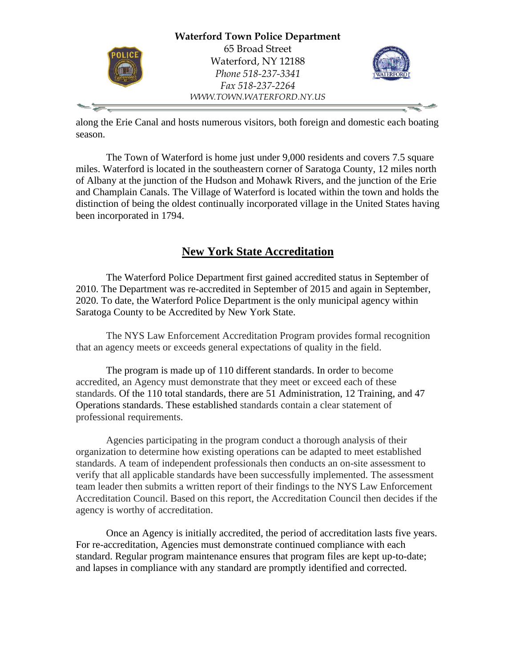

along the Erie Canal and hosts numerous visitors, both foreign and domestic each boating season.

The Town of Waterford is home just under 9,000 residents and covers 7.5 square miles. Waterford is located in the southeastern corner of Saratoga County, 12 miles north of Albany at the junction of the Hudson and Mohawk Rivers, and the junction of the Erie and Champlain Canals. The Village of Waterford is located within the town and holds the distinction of being the oldest continually incorporated village in the United States having been incorporated in 1794.

# **New York State Accreditation**

The Waterford Police Department first gained accredited status in September of 2010. The Department was re-accredited in September of 2015 and again in September, 2020. To date, the Waterford Police Department is the only municipal agency within Saratoga County to be Accredited by New York State.

The NYS Law Enforcement Accreditation Program provides formal recognition that an agency meets or exceeds general expectations of quality in the field.

The program is made up of 110 different standards. In order to become accredited, an Agency must demonstrate that they meet or exceed each of these standards. Of the 110 total standards, there are 51 Administration, 12 Training, and 47 Operations standards. These established standards contain a clear statement of professional requirements.

Agencies participating in the program conduct a thorough analysis of their organization to determine how existing operations can be adapted to meet established standards. A team of independent professionals then conducts an on-site assessment to verify that all applicable standards have been successfully implemented. The assessment team leader then submits a written report of their findings to the NYS Law Enforcement Accreditation Council. Based on this report, the Accreditation Council then decides if the agency is worthy of accreditation.

Once an Agency is initially accredited, the period of accreditation lasts five years. For re-accreditation, Agencies must demonstrate continued compliance with each standard. Regular program maintenance ensures that program files are kept up-to-date; and lapses in compliance with any standard are promptly identified and corrected.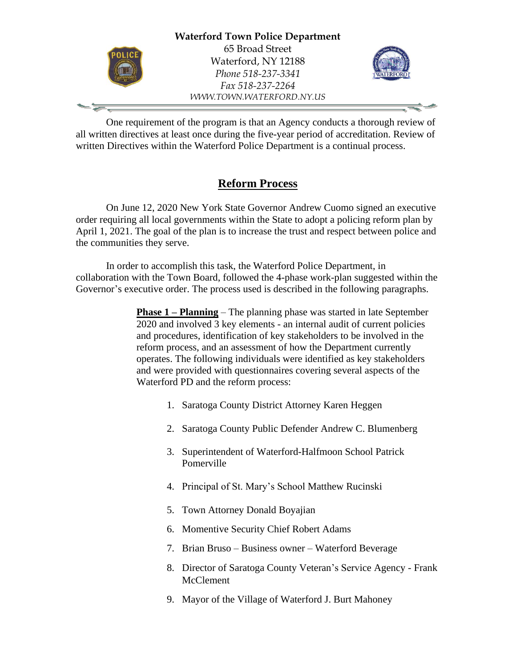

One requirement of the program is that an Agency conducts a thorough review of all written directives at least once during the five-year period of accreditation. Review of written Directives within the Waterford Police Department is a continual process.

## **Reform Process**

On June 12, 2020 New York State Governor Andrew Cuomo signed an executive order requiring all local governments within the State to adopt a policing reform plan by April 1, 2021. The goal of the plan is to increase the trust and respect between police and the communities they serve.

In order to accomplish this task, the Waterford Police Department, in collaboration with the Town Board, followed the 4-phase work-plan suggested within the Governor's executive order. The process used is described in the following paragraphs.

> **Phase 1 – Planning** – The planning phase was started in late September 2020 and involved 3 key elements - an internal audit of current policies and procedures, identification of key stakeholders to be involved in the reform process, and an assessment of how the Department currently operates. The following individuals were identified as key stakeholders and were provided with questionnaires covering several aspects of the Waterford PD and the reform process:

- 1. Saratoga County District Attorney Karen Heggen
- 2. Saratoga County Public Defender Andrew C. Blumenberg
- 3. Superintendent of Waterford-Halfmoon School Patrick Pomerville
- 4. Principal of St. Mary's School Matthew Rucinski
- 5. Town Attorney Donald Boyajian
- 6. Momentive Security Chief Robert Adams
- 7. Brian Bruso Business owner Waterford Beverage
- 8. Director of Saratoga County Veteran's Service Agency Frank McClement
- 9. Mayor of the Village of Waterford J. Burt Mahoney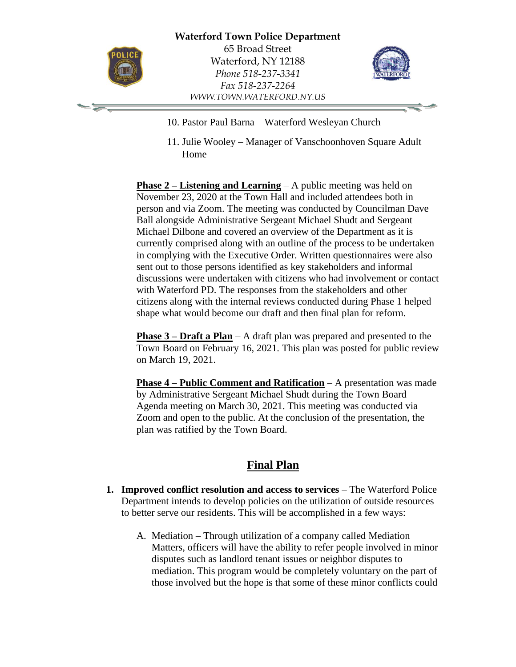

-'=

65 Broad Street Waterford, NY 12188 *Phone 518-237-3341 Fax 518-237-2264 WWW.TOWN.WATERFORD.NY.US*



- 10. Pastor Paul Barna Waterford Wesleyan Church
- 11. Julie Wooley Manager of Vanschoonhoven Square Adult Home

**Phase 2 – Listening and Learning** – A public meeting was held on November 23, 2020 at the Town Hall and included attendees both in person and via Zoom. The meeting was conducted by Councilman Dave Ball alongside Administrative Sergeant Michael Shudt and Sergeant Michael Dilbone and covered an overview of the Department as it is currently comprised along with an outline of the process to be undertaken in complying with the Executive Order. Written questionnaires were also sent out to those persons identified as key stakeholders and informal discussions were undertaken with citizens who had involvement or contact with Waterford PD. The responses from the stakeholders and other citizens along with the internal reviews conducted during Phase 1 helped shape what would become our draft and then final plan for reform.

**Phase 3 – Draft a Plan** – A draft plan was prepared and presented to the Town Board on February 16, 2021. This plan was posted for public review on March 19, 2021.

**Phase 4 – Public Comment and Ratification** – A presentation was made by Administrative Sergeant Michael Shudt during the Town Board Agenda meeting on March 30, 2021. This meeting was conducted via Zoom and open to the public. At the conclusion of the presentation, the plan was ratified by the Town Board.

### **Final Plan**

- **1. Improved conflict resolution and access to services** The Waterford Police Department intends to develop policies on the utilization of outside resources to better serve our residents. This will be accomplished in a few ways:
	- A. Mediation Through utilization of a company called Mediation Matters, officers will have the ability to refer people involved in minor disputes such as landlord tenant issues or neighbor disputes to mediation. This program would be completely voluntary on the part of those involved but the hope is that some of these minor conflicts could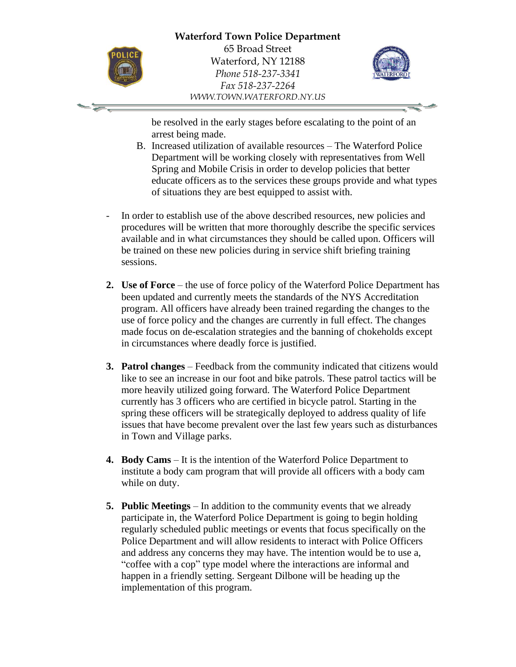

-' -

65 Broad Street Waterford, NY 12188 *Phone 518-237-3341 Fax 518-237-2264 WWW.TOWN.WATERFORD.NY.US*



be resolved in the early stages before escalating to the point of an arrest being made.

- B. Increased utilization of available resources The Waterford Police Department will be working closely with representatives from Well Spring and Mobile Crisis in order to develop policies that better educate officers as to the services these groups provide and what types of situations they are best equipped to assist with.
- In order to establish use of the above described resources, new policies and procedures will be written that more thoroughly describe the specific services available and in what circumstances they should be called upon. Officers will be trained on these new policies during in service shift briefing training sessions.
- **2. Use of Force** the use of force policy of the Waterford Police Department has been updated and currently meets the standards of the NYS Accreditation program. All officers have already been trained regarding the changes to the use of force policy and the changes are currently in full effect. The changes made focus on de-escalation strategies and the banning of chokeholds except in circumstances where deadly force is justified.
- **3. Patrol changes** Feedback from the community indicated that citizens would like to see an increase in our foot and bike patrols. These patrol tactics will be more heavily utilized going forward. The Waterford Police Department currently has 3 officers who are certified in bicycle patrol. Starting in the spring these officers will be strategically deployed to address quality of life issues that have become prevalent over the last few years such as disturbances in Town and Village parks.
- **4. Body Cams** It is the intention of the Waterford Police Department to institute a body cam program that will provide all officers with a body cam while on duty.
- **5. Public Meetings** In addition to the community events that we already participate in, the Waterford Police Department is going to begin holding regularly scheduled public meetings or events that focus specifically on the Police Department and will allow residents to interact with Police Officers and address any concerns they may have. The intention would be to use a, "coffee with a cop" type model where the interactions are informal and happen in a friendly setting. Sergeant Dilbone will be heading up the implementation of this program.